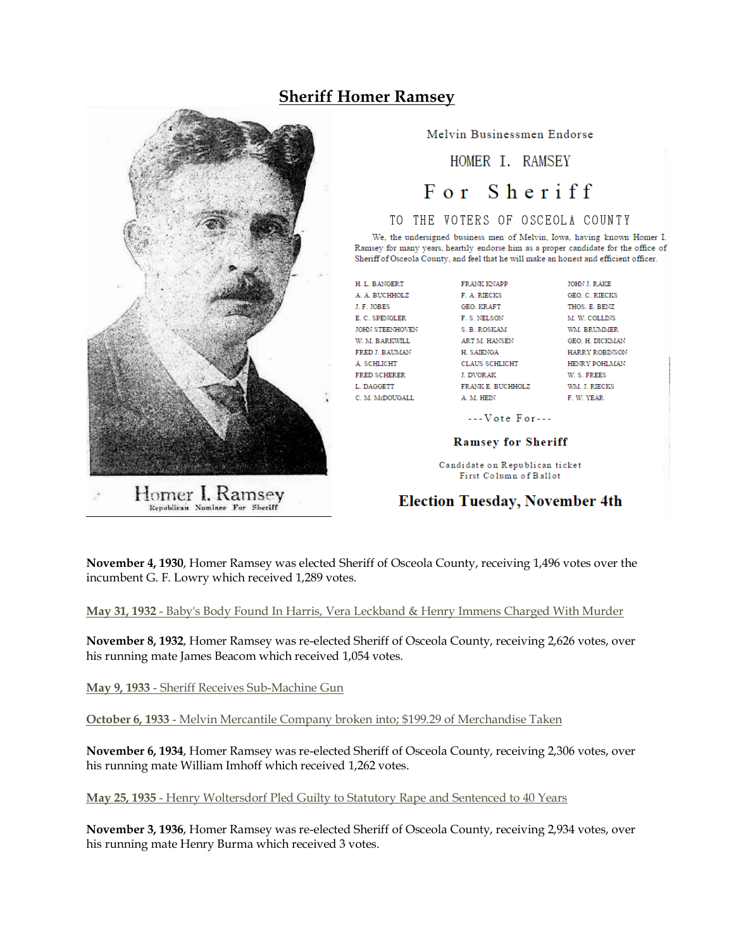## **Sheriff Homer Ramsey**



Homer I. Ramsey Republican Nominee For Sheriff

Melvin Businessmen Endorse

HOMER T. RAMSEY

# For Sheriff

#### TO THE VOTERS OF OSCEOLA COUNTY

We, the undersigned business men of Melvin, Iowa, having known Homer I. Ramsey for many years, heartily endorse him as a proper candidate for the office of Sheriff of Osceola County, and feel that he will make an honest and efficient officer.

H. L. BANGERT A. A. BUCHHOLZ J. F. JOBES E. C. SPENGLER **JOHN STEENHOVEN** W. M. BARKWILL FRED J. BAUMAN A. SCHLICHT FRED SCHERER L. DAGGETT C. M. McDOUGALL

F. A. RIECKS GEO. KRAFT F. S. NELSON S. B. ROSKAM ART M. HANSEN H. SAIENGA CLAUS SCHLICHT **L DVOR AK** FRANK E. BUCHHOLZ A. M. HEIN

FRANK KNAPP

**JOHN L RAKE** GEO. C. RIECKS THOS. E. BENZ M. W. COLLINS WM. BRUMMER **GEO. H. DICKMAN** HARRY ROBINSON HENRY POHLMAN W.S. FREES WM. J. RIECKS F. W. YEAR

 $--**V**ote For---$ 

#### **Ramsey for Sheriff**

Candidate on Republican ticket First Column of Ballot

### **Election Tuesday, November 4th**

**November 4, 1930**, Homer Ramsey was elected Sheriff of Osceola County, receiving 1,496 votes over the incumbent G. F. Lowry which received 1,289 votes.

**May 31, 1932** - Baby's Body Found In Harris, Vera Leckband & Henry Immens Charged With Murder

**November 8, 1932**, Homer Ramsey was re-elected Sheriff of Osceola County, receiving 2,626 votes, over his running mate James Beacom which received 1,054 votes.

**May 9, 1933** - Sheriff Receives Sub-Machine Gun

**October 6, 1933** - Melvin Mercantile Company broken into; \$199.29 of Merchandise Taken

**November 6, 1934**, Homer Ramsey was re-elected Sheriff of Osceola County, receiving 2,306 votes, over his running mate William Imhoff which received 1,262 votes.

**May 25, 1935** - Henry Woltersdorf Pled Guilty to Statutory Rape and Sentenced to 40 Years

**November 3, 1936**, Homer Ramsey was re-elected Sheriff of Osceola County, receiving 2,934 votes, over his running mate Henry Burma which received 3 votes.